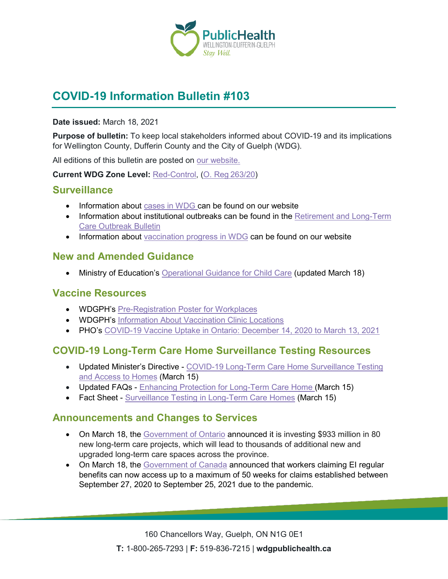

# **COVID-19 Information Bulletin #103**

#### **Date issued:** March 18, 2021

**Purpose of bulletin:** To keep local stakeholders informed about COVID-19 and its implications for Wellington County, Dufferin County and the City of Guelph (WDG).

All editions of this bulletin are posted on [our website.](https://www.wdgpublichealth.ca/your-health/covid-19-information-workplaces-and-living-spaces/community-stakeholder-bulletins)

**Current WDG Zone Level:** [Red-Control,](https://www.ontario.ca/page/covid-19-response-framework-keeping-ontario-safe-and-open#control) ([O. Reg 263/20](https://www.ontario.ca/laws/regulation/200263))

### **Surveillance**

- Information about [cases in WDG](https://wdgpublichealth.ca/your-health/covid-19-information-public/status-cases-wdg) can be found on our website
- Information about institutional outbreaks can be found in the Retirement and Long-Term [Care Outbreak Bulletin](https://wdgpublichealth.ca/node/1542)
- Information about [vaccination progress](https://www.wdgpublichealth.ca/your-health/covid-19-information-public/covid-19-vaccine-information-public) in WDG can be found on our website

## **New and Amended Guidance**

• Ministry of Education's [Operational Guidance for Child Care](http://www.edu.gov.on.ca/childcare/child-care-guide-child-care.pdf) (updated March 18)

# **Vaccine Resources**

- WDGPH's [Pre-Registration Poster](https://www.wdgpublichealth.ca/sites/default/files/vaccine_registration_and_booking_line_-_poster.pdf) for Workplaces
- WDGPH's [Information About Vaccination Clinic Locations](https://wdgpublichealth.ca/your-health/covid-19-information-public/covid-19-vaccine-information/vaccination-clinic-locations)
- PHO's [COVID-19 Vaccine Uptake in Ontario: December 14, 2020 to March 13, 2021](https://www.publichealthontario.ca/-/media/documents/ncov/epi/covid-19-vaccine-uptake-ontario-epi-summary.pdf?la=en)

# **COVID-19 Long-Term Care Home Surveillance Testing Resources**

- Updated Minister's Directive [COVID-19 Long-Term Care Home Surveillance Testing](https://www.ltchomes.net/LTCHPORTAL/Content/Snippets/Ministers%20Directive%20_COVID-19%20Long-Term%20Care%20Home%20Surveillance%20Testing%20_March%2015,%202021.pdf)  [and Access to Homes](https://www.ltchomes.net/LTCHPORTAL/Content/Snippets/Ministers%20Directive%20_COVID-19%20Long-Term%20Care%20Home%20Surveillance%20Testing%20_March%2015,%202021.pdf) (March 15)
- Updated FAQs [Enhancing Protection for Long-Term Care Home](https://www.ltchomes.net/LTCHPORTAL/Content/Snippets/Updated%20FAQ) (March 15)
- Fact Sheet [Surveillance Testing in Long-Term Care Homes](https://www.ltchomes.net/LTCHPORTAL/Content/Snippets/Surveillance%20Testing%20in%20Long%20Term%20Care%20Homes%20Fact%20Sheet%20_March%2015,%202021.pdf) (March 15)

## **Announcements and Changes to Services**

- On March 18, the [Government of Ontario](https://news.ontario.ca/en/release/60796/ontario-making-historic-investment-to-modernize-long-term-care) announced it is investing \$933 million in 80 new long-term care projects, which will lead to thousands of additional new and upgraded long-term care spaces across the province.
- On March 18, the [Government of Canada](https://www.canada.ca/en/employment-social-development/news/2021/03/c-24-royal-assent.html) announced that workers claiming EI regular benefits can now access up to a maximum of 50 weeks for claims established between September 27, 2020 to September 25, 2021 due to the pandemic.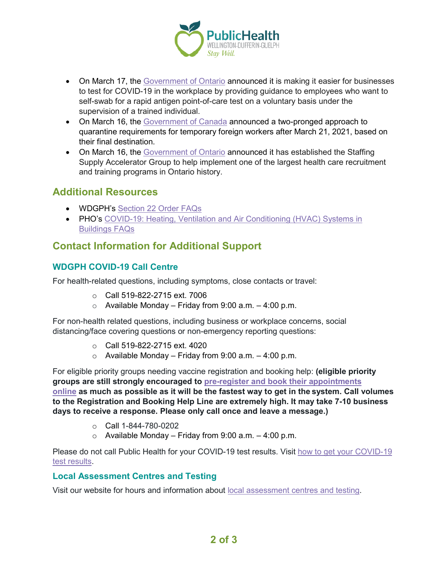

- On March 17, the [Government of Ontario](https://news.ontario.ca/en/release/60745/ontario-making-it-easier-to-administer-rapid-covid-19-testing-in-the-workplace) announced it is making it easier for businesses to test for COVID-19 in the workplace by providing guidance to employees who want to self-swab for a rapid antigen point-of-care test on a voluntary basis under the supervision of a trained individual.
- On March 16, the [Government of Canada](https://www.canada.ca/en/employment-social-development/news/2021/03/the-safe-arrival-of-temporary-foreign-workers-this-season-and-the-quarantine-requirements-for-tfws.html) announced a two-pronged approach to quarantine requirements for temporary foreign workers after March 21, 2021, based on their final destination.
- On March 16, the [Government of Ontario](https://news.ontario.ca/en/release/60733/new-action-group-to-help-implement-one-of-the-largest-health-care-recruiting-and-training-programs-i) announced it has established the Staffing Supply Accelerator Group to help implement one of the largest health care recruitment and training programs in Ontario history.

# **Additional Resources**

- WDGPH's [Section 22 Order](https://wdgpublichealth.ca/your-health/covid-19-information-public/current-public-health-measures-and-restrictions/section-22) FAQs
- PHO's COVID-19: Heating, Ventilation and Air Conditioning (HVAC) Systems in [Buildings FAQs](https://www.publichealthontario.ca/-/media/documents/ncov/ipac/2020/09/covid-19-hvac-systems-in-buildings.pdf?la=en)

# **Contact Information for Additional Support**

### **WDGPH COVID-19 Call Centre**

For health-related questions, including symptoms, close contacts or travel:

- o Call 519-822-2715 ext. 7006
- $\circ$  Available Monday Friday from 9:00 a.m. 4:00 p.m.

For non-health related questions, including business or workplace concerns, social distancing/face covering questions or non-emergency reporting questions:

- o Call 519-822-2715 ext. 4020
- $\circ$  Available Monday Friday from 9:00 a.m. 4:00 p.m.

For eligible priority groups needing vaccine registration and booking help: **(eligible priority groups are still strongly encouraged to [pre-register and book their appointments](https://wdgpublichealth.ca/your-health/covid-19-information-public/covid-19-vaccine-information/pre-register-your-covid-19)  [online](https://wdgpublichealth.ca/your-health/covid-19-information-public/covid-19-vaccine-information/pre-register-your-covid-19) as much as possible as it will be the fastest way to get in the system. Call volumes to the Registration and Booking Help Line are extremely high. It may take 7-10 business days to receive a response. Please only call once and leave a message.)**

- $\circ$  Call 1-844-780-0202
- $\circ$  Available Monday Friday from 9:00 a.m. 4:00 p.m.

Please do not call Public Health for your COVID-19 test results. Visit [how to get your COVID-19](https://www.wdgpublichealth.ca/your-health/covid-19-information-public/how-get-your-covid-19-test-result)  [test results.](https://www.wdgpublichealth.ca/your-health/covid-19-information-public/how-get-your-covid-19-test-result)

#### **Local [Assessment](https://www.wdgpublichealth.ca/your-health/covid-19-information-public/assessment-centres-wdg) Centres and Testing**

Visit our website for hours and information about local [assessment](https://www.wdgpublichealth.ca/your-health/covid-19-information-public/assessment-centres-wdg) centres and testing.